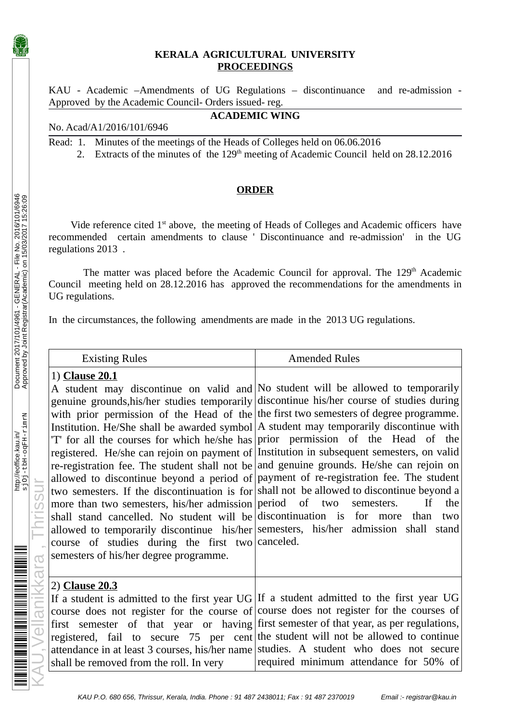## **KERALA AGRICULTURAL UNIVERSITY PROCEEDINGS**

KAU - Academic –Amendments of UG Regulations – discontinuance and re-admission - Approved by the Academic Council- Orders issued- reg.

**ACADEMIC WING**

## No. Acad/A1/2016/101/6946

Read: 1. Minutes of the meetings of the Heads of Colleges held on 06.06.2016

2. Extracts of the minutes of the 129<sup>th</sup> meeting of Academic Council held on 28.12.2016

## **ORDER**

Vide reference cited 1<sup>st</sup> above, the meeting of Heads of Colleges and Academic officers have recommended certain amendments to clause ' Discontinuance and re-admission' in the UG regulations 2013 .

The matter was placed before the Academic Council for approval. The 129<sup>th</sup> Academic Council meeting held on 28.12.2016 has approved the recommendations for the amendments in UG regulations.

In the circumstances, the following amendments are made in the 2013 UG regulations.

|                 | <b>Existing Rules</b>                                                                                                                                                                                                                             | <b>Amended Rules</b>                                                                                                                                                                                                                                                                                                                                                                                                                                                                                                                                                                                                                                                                                                                                                                                                                                                                                                                                                       |
|-----------------|---------------------------------------------------------------------------------------------------------------------------------------------------------------------------------------------------------------------------------------------------|----------------------------------------------------------------------------------------------------------------------------------------------------------------------------------------------------------------------------------------------------------------------------------------------------------------------------------------------------------------------------------------------------------------------------------------------------------------------------------------------------------------------------------------------------------------------------------------------------------------------------------------------------------------------------------------------------------------------------------------------------------------------------------------------------------------------------------------------------------------------------------------------------------------------------------------------------------------------------|
| <b>Thrissur</b> | 1) Clause 20.1<br>more than two semesters, his/her admission period of two<br>shall stand cancelled. No student will be discontinuation is for more<br>course of studies during the first two canceled.<br>semesters of his/her degree programme. | A student may discontinue on valid and No student will be allowed to temporarily<br>genuine grounds, his/her studies temporarily discontinue his/her course of studies during<br>with prior permission of the Head of the the first two semesters of degree programme.<br>Institution. He/She shall be awarded symbol A student may temporarily discontinue with<br>'T' for all the courses for which he/she has prior permission of the Head of the<br>registered. He/she can rejoin on payment of Institution in subsequent semesters, on valid<br>re-registration fee. The student shall not be and genuine grounds. He/she can rejoin on<br>allowed to discontinue beyond a period of payment of re-registration fee. The student<br>two semesters. If the discontinuation is for shall not be allowed to discontinue beyond a<br>the<br><b>If</b><br>semesters.<br>than<br>two<br>allowed to temporarily discontinue his/her semesters, his/her admission shall stand |
| Vellanikkara    | 2) Clause 20.3<br>shall be removed from the roll. In very                                                                                                                                                                                         | If a student is admitted to the first year $UG If$ a student admitted to the first year UG<br>course does not register for the course of course does not register for the courses of<br>first semester of that year or having first semester of that year, as per regulations,<br>registered, fail to secure $75$ per cent the student will not be allowed to continue<br>attendance in at least 3 courses, his/her name studies. A student who does not secure<br>required minimum attendance for 50% of                                                                                                                                                                                                                                                                                                                                                                                                                                                                  |